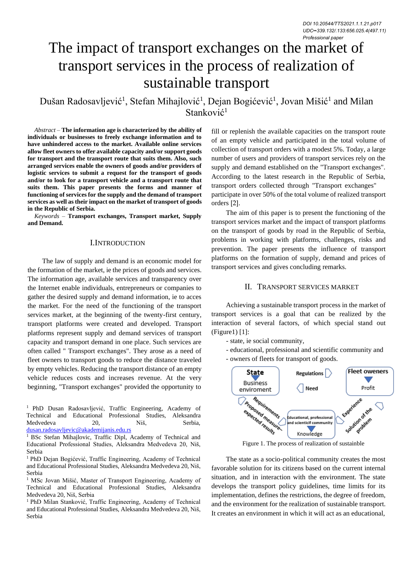# The impact of transport exchanges on the market of transport services in the process of realization of sustainable transport

Dušan Radosavljević<sup>1</sup>, Stefan Mihajlović<sup>1</sup>, Dejan Bogićević<sup>1</sup>, Jovan Mišić<sup>1</sup> and Milan Stanković<sup>1</sup>

*Abstract –* **The information age is characterized by the ability of individuals or businesses to freely exchange information and to have unhindered access to the market. Available online services allow fleet owners to offer available capacity and/or support goods for transport and the transport route that suits them. Also, such arranged services enable the owners of goods and/or providers of logistic services to submit a request for the transport of goods and/or to look for a transport vehicle and a transport route that suits them. This paper presents the forms and manner of functioning of services for the supply and the demand of transport services as well as their impact on the market of transport of goods in the Republic of Serbia.**

*Keywords –* **Transport exchanges, Transport market, Supply and Demand.**

#### I.INTRODUCTION

The law of supply and demand is an economic model for the formation of the market, ie the prices of goods and services. The information age, available services and transparency over the Internet enable individuals, entrepreneurs or companies to gather the desired supply and demand information, ie to acces the market. For the need of the functioning of the transport services market, at the beginning of the twenty-first century, transport platforms were created and developed. Transport platforms represent supply and demand services of transport capacity and transport demand in one place. Such services are often called " Transport exchanges". They arose as a need of fleet owners to transport goods to reduce the distance traveled by empty vehicles. Reducing the transport distance of an empty vehicle reduces costs and increases revenue. At the very beginning, "Transport exchanges" provided the opportunity to

<sup>1</sup> PhD Dusan Radosavljević, Traffic Engineering, Academy of Technical and Educational Professional Studies, Aleksandra Medvedeva 20, Niš, Serbia, [dusan.radosavljevic@akademijanis.edu.rs](mailto:dusan.radosavljevic@akademijanis.edu.rs)

fill or replenish the available capacities on the transport route of an empty vehicle and participated in the total volume of collection of transport orders with a modest 5%. Today, a large number of users and providers of transport services rely on the supply and demand established on the "Transport exchanges". According to the latest research in the Republic of Serbia, transport orders collected through "Transport exchanges" participate in over 50% of the total volume of realized transport orders [2].

The aim of this paper is to present the functioning of the transport services market and the impact of transport platforms on the transport of goods by road in the Republic of Serbia, problems in working with platforms, challenges, risks and prevention. The paper presents the influence of transport platforms on the formation of supply, demand and prices of transport services and gives concluding remarks.

### II. TRANSPORT SERVICES MARKET

Achieving a sustainable transport process in the market of transport services is a goal that can be realized by the interaction of several factors, of which special stand out (Figure1) [1]:

- state, ie social community,
- educational, professional and scientific community and
- owners of fleets for transport of goods.



Figure 1. The process of realization of sustainble

The state as a socio-political community creates the most favorable solution for its citizens based on the current internal situation, and in interaction with the environment. The state develops the transport policy guidelines, time limits for its implementation, defines the restrictions, the degree of freedom, and the environment for the realization of sustainable transport. It creates an environment in which it will act as an educational,

<sup>&</sup>lt;sup>1</sup> BSc Stefan Mihajlovic, Traffic Dipl, Academy of Technical and Educational Professional Studies, Aleksandra Medvedeva 20, Niš, Serbia

<sup>&</sup>lt;sup>1</sup> PhD Dejan Bogićević, Traffic Engineering, Academy of Technical and Educational Professional Studies, Aleksandra Medvedeva 20, Niš, Serbia

<sup>&</sup>lt;sup>1</sup> MSc Jovan Mišić, Master of Transport Engineering, Academy of Technical and Educational Professional Studies, Aleksandra Medvedeva 20, Niš, Serbia

<sup>&</sup>lt;sup>1</sup> PhD Milan Stanković, Traffic Engineering, Academy of Technical and Educational Professional Studies, Aleksandra Medvedeva 20, Niš, Serbia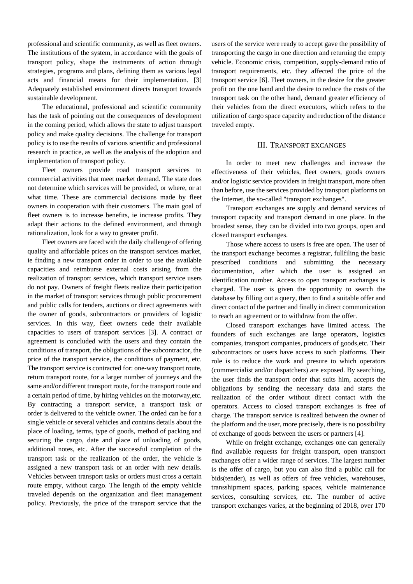professional and scientific community, as well as fleet owners. The institutions of the system, in accordance with the goals of transport policy, shape the instruments of action through strategies, programs and plans, defining them as various legal acts and financial means for their implementation. [3] Adequately established environment directs transport towards sustainable development.

The educational, professional and scientific community has the task of pointing out the consequences of development in the coming period, which allows the state to adjust transport policy and make quality decisions. The challenge for transport policy is to use the results of various scientific and professional research in practice, as well as the analysis of the adoption and implementation of transport policy.

Fleet owners provide road transport services to commercial activities that meet market demand. The state does not determine which services will be provided, or where, or at what time. These are commercial decisions made by fleet owners in cooperation with their customers. The main goal of fleet owners is to increase benefits, ie increase profits. They adapt their actions to the defined environment, and through rationalization, look for a way to greater profit.

Fleet owners are faced with the daily challenge of offering quality and affordable prices on the transport services market, ie finding a new transport order in order to use the available capacities and reimburse external costs arising from the realization of transport services, which transport service users do not pay. Owners of freight fleets realize their participation in the market of transport services through public procurement and public calls for tenders, auctions or direct agreements with the owner of goods, subcontractors or providers of logistic services. In this way, fleet owners cede their available capacities to users of transport services [3]. A contract or agreement is concluded with the users and they contain the conditions of transport, the obligations of the subcontractor, the price of the transport service, the conditions of payment, etc. The transport service is contracted for: one-way transport route, return transport route, for a larger number of journeys and the same and/or different transport route, for the transport route and a certain period of time, by hiring vehicles on the motorway,etc. By contracting a transport service, a transport task or order is delivered to the vehicle owner. The orded can be for a single vehicle or several vehicles and contains details about the place of loading, terms, type of goods, method of packing and securing the cargo, date and place of unloading of goods, additional notes, etc. After the successful completion of the transport task or the realization of the order, the vehicle is assigned a new transport task or an order with new details. Vehicles between transport tasks or orders must cross a certain route empty, without cargo. The length of the empty vehicle traveled depends on the organization and fleet management policy. Previously, the price of the transport service that the

users of the service were ready to accept gave the possibility of transporting the cargo in one direction and returning the empty vehicle. Economic crisis, competition, supply-demand ratio of transport requirements, etc. they affected the price of the transport service [6]. Fleet owners, in the desire for the greater profit on the one hand and the desire to reduce the costs of the transport task on the other hand, demand greater efficiency of their vehicles from the direct executors, which refers to the utilization of cargo space capacity and reduction of the distance traveled empty.

#### III. TRANSPORT EXCANGES

In order to meet new challenges and increase the effectiveness of their vehicles, fleet owners, goods owners and/or logistic service providers in freight transport, more often than before, use the services provided by transport platforms on the Internet, the so-called "transport exchanges".

Transport exchanges are supply and demand services of transport capacity and transport demand in one place. In the broadest sense, they can be divided into two groups, open and closed transport exchanges.

Those where access to users is free are open. The user of the transport exchange becomes a registrar, fullfiling the basic prescribed conditions and submitting the necessary documentation, after which the user is assigned an identification number. Access to open transport exchanges is charged. The user is given the opportunity to search the database by filling out a query, then to find a suitable offer and direct contact of the partner and finally in direct communication to reach an agreement or to withdraw from the offer.

Closed transport exchanges have limited access. The founders of such exchanges are large operators, logistics companies, transport companies, producers of goods,etc. Their subcontractors or users have access to such platforms. Their role is to reduce the work and presure to which operators (commercialist and/or dispatchers) are exposed. By searching, the user finds the transport order that suits him, accepts the obligations by sending the necessary data and starts the realization of the order without direct contact with the operators. Access to closed transport exchanges is free of charge. The transport service is realized between the owner of the platform and the user, more precisely, there is no possibility of exchange of goods between the users or partners [4].

While on freight exchange, exchanges one can generally find available requests for freight transport, open transport exchanges offer a wider range of services. The largest number is the offer of cargo, but you can also find a public call for bids(tender), as well as offers of free vehicles, warehouses, transshipment spaces, parking spaces, vehicle maintenance services, consulting services, etc. The number of active transport exchanges varies, at the beginning of 2018, over 170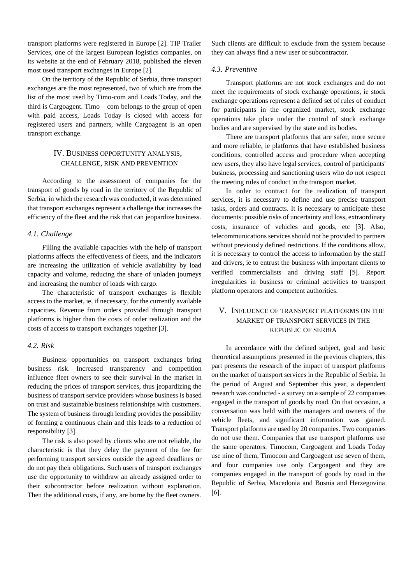transport platforms were registered in Europe [2]. TIP Trailer Services, one of the largest European logistics companies, on its website at the end of February 2018, published the eleven most used transport exchanges in Europe [2].

On the territory of the Republic of Serbia, three transport exchanges are the most represented, two of which are from the list of the most used by Timo-com and Loads Today, and the third is Cargoagent. Timo – com belongs to the group of open with paid access, Loads Today is closed with access for registered users and partners, while Cargoagent is an open transport exchange.

# IV. BUSINESS OPPORTUNITY ANALYSIS, CHALLENGE, RISK AND PREVENTION

According to the assessment of companies for the transport of goods by road in the territory of the Republic of Serbia, in which the research was conducted, it was determined that transport exchanges represent a challenge that increases the efficiency of the fleet and the risk that can jeopardize business.

#### *4.1. Challenge*

Filling the available capacities with the help of transport platforms affects the effectiveness of fleets, and the indicators are increasing the utilization of vehicle availability by load capacity and volume, reducing the share of unladen journeys and increasing the number of loads with cargo.

The characteristic of transport exchanges is flexible access to the market, ie, if necessary, for the currently available capacities. Revenue from orders provided through transport platforms is higher than the costs of order realization and the costs of access to transport exchanges together [3].

## *4.2. Risk*

Business opportunities on transport exchanges bring business risk. Increased transparency and competition influence fleet owners to see their survival in the market in reducing the prices of transport services, thus jeopardizing the business of transport service providers whose business is based on trust and sustainable business relationships with customers. The system of business through lending provides the possibility of forming a continuous chain and this leads to a reduction of responsibility [3].

The risk is also posed by clients who are not reliable, the characteristic is that they delay the payment of the fee for performing transport services outside the agreed deadlines or do not pay their obligations. Such users of transport exchanges use the opportunity to withdraw an already assigned order to their subcontractor before realization without explanation. Then the additional costs, if any, are borne by the fleet owners.

Such clients are difficult to exclude from the system because they can always find a new user or subcontractor.

#### *4.3. Preventive*

Transport platforms are not stock exchanges and do not meet the requirements of stock exchange operations, ie stock exchange operations represent a defined set of rules of conduct for participants in the organized market, stock exchange operations take place under the control of stock exchange bodies and are supervised by the state and its bodies.

There are transport platforms that are safer, more secure and more reliable, ie platforms that have established business conditions, controlled access and procedure when accepting new users, they also have legal services, control of participants' business, processing and sanctioning users who do not respect the meeting rules of conduct in the transport market.

In order to contract for the realization of transport services, it is necessary to define and use precise transport tasks, orders and contracts. It is necessary to anticipate these documents: possible risks of uncertainty and loss, extraordinary costs, insurance of vehicles and goods, etc [3]. Also, telecommunications services should not be provided to partners without previously defined restrictions. If the conditions allow, it is necessary to control the access to information by the staff and drivers, ie to entrust the business with important clients to verified commercialists and driving staff [5]. Report irregularities in business or criminal activities to transport platform operators and competent authorities.

# V. INFLUENCE OF TRANSPORT PLATFORMS ON THE MARKET OF TRANSPORT SERVICES IN THE REPUBLIC OF SERBIA

In accordance with the defined subject, goal and basic theoretical assumptions presented in the previous chapters, this part presents the research of the impact of transport platforms on the market of transport services in the Republic of Serbia. In the period of August and September this year, a dependent research was conducted - a survey on a sample of 22 companies engaged in the transport of goods by road. On that occasion, a conversation was held with the managers and owners of the vehicle fleets, and significant information was gained. Transport platforms are used by 20 companies. Two companies do not use them. Companies that use transport platforms use the same operators. Timocom, Cargoagent and Loads Today use nine of them, Timocom and Cargoagent use seven of them, and four companies use only Cargoagent and they are companies engaged in the transport of goods by road in the Republic of Serbia, Macedonia and Bosnia and Herzegovina [6].